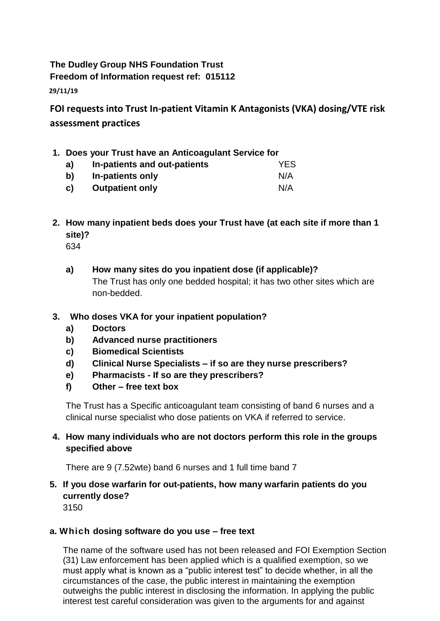## **The Dudley Group NHS Foundation Trust Freedom of Information request ref: 015112**

**29/11/19**

**FOI requests into Trust In-patient Vitamin K Antagonists (VKA) dosing/VTE risk assessment practices**

- **1. Does your Trust have an Anticoagulant Service for**
	- **a) In-patients and out-patients** YES **b) In-patients only** N/A
	- **c) Outpatient only** N/A
- **2. How many inpatient beds does your Trust have (at each site if more than 1 site)?**

634

- **a) How many sites do you inpatient dose (if applicable)?** The Trust has only one bedded hospital; it has two other sites which are non-bedded.
- **3. Who doses VKA for your inpatient population?**
	- **a) Doctors**
	- **b) Advanced nurse practitioners**
	- **c) Biomedical Scientists**
	- **d) Clinical Nurse Specialists – if so are they nurse prescribers?**
	- **e) Pharmacists - If so are they prescribers?**
	- **f) Other – free text box**

The Trust has a Specific anticoagulant team consisting of band 6 nurses and a clinical nurse specialist who dose patients on VKA if referred to service.

**4. How many individuals who are not doctors perform this role in the groups specified above**

There are 9 (7.52wte) band 6 nurses and 1 full time band 7

## **5. If you dose warfarin for out-patients, how many warfarin patients do you currently dose?**

3150

## **a. Which dosing software do you use – free text**

The name of the software used has not been released and FOI Exemption Section (31) Law enforcement has been applied which is a qualified exemption, so we must apply what is known as a "public interest test" to decide whether, in all the circumstances of the case, the public interest in maintaining the exemption outweighs the public interest in disclosing the information. In applying the public interest test careful consideration was given to the arguments for and against